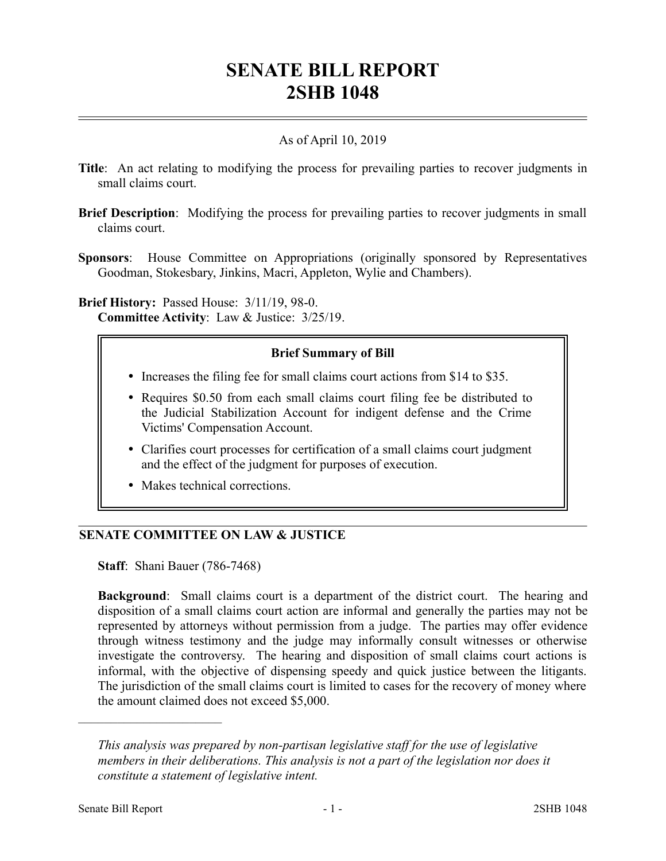# **SENATE BILL REPORT 2SHB 1048**

# As of April 10, 2019

- **Title**: An act relating to modifying the process for prevailing parties to recover judgments in small claims court.
- **Brief Description**: Modifying the process for prevailing parties to recover judgments in small claims court.
- **Sponsors**: House Committee on Appropriations (originally sponsored by Representatives Goodman, Stokesbary, Jinkins, Macri, Appleton, Wylie and Chambers).

### **Brief History:** Passed House: 3/11/19, 98-0. **Committee Activity**: Law & Justice: 3/25/19.

# **Brief Summary of Bill**

- Increases the filing fee for small claims court actions from \$14 to \$35.
- Requires \$0.50 from each small claims court filing fee be distributed to the Judicial Stabilization Account for indigent defense and the Crime Victims' Compensation Account.
- Clarifies court processes for certification of a small claims court judgment and the effect of the judgment for purposes of execution.
- Makes technical corrections.

### **SENATE COMMITTEE ON LAW & JUSTICE**

**Staff**: Shani Bauer (786-7468)

**Background**: Small claims court is a department of the district court. The hearing and disposition of a small claims court action are informal and generally the parties may not be represented by attorneys without permission from a judge. The parties may offer evidence through witness testimony and the judge may informally consult witnesses or otherwise investigate the controversy. The hearing and disposition of small claims court actions is informal, with the objective of dispensing speedy and quick justice between the litigants. The jurisdiction of the small claims court is limited to cases for the recovery of money where the amount claimed does not exceed \$5,000.

––––––––––––––––––––––

*This analysis was prepared by non-partisan legislative staff for the use of legislative members in their deliberations. This analysis is not a part of the legislation nor does it constitute a statement of legislative intent.*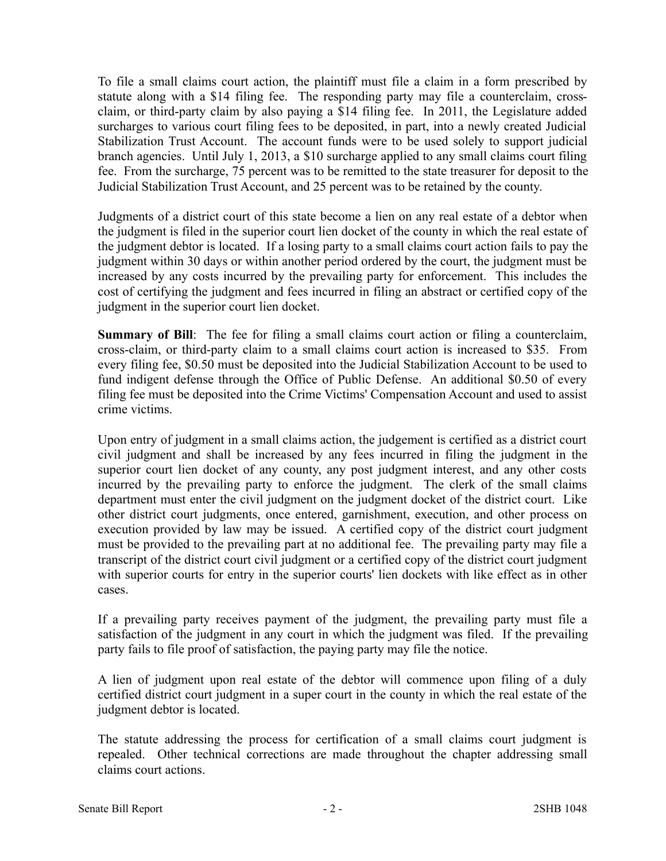To file a small claims court action, the plaintiff must file a claim in a form prescribed by statute along with a \$14 filing fee. The responding party may file a counterclaim, crossclaim, or third-party claim by also paying a \$14 filing fee. In 2011, the Legislature added surcharges to various court filing fees to be deposited, in part, into a newly created Judicial Stabilization Trust Account. The account funds were to be used solely to support judicial branch agencies. Until July 1, 2013, a \$10 surcharge applied to any small claims court filing fee. From the surcharge, 75 percent was to be remitted to the state treasurer for deposit to the Judicial Stabilization Trust Account, and 25 percent was to be retained by the county.

Judgments of a district court of this state become a lien on any real estate of a debtor when the judgment is filed in the superior court lien docket of the county in which the real estate of the judgment debtor is located. If a losing party to a small claims court action fails to pay the judgment within 30 days or within another period ordered by the court, the judgment must be increased by any costs incurred by the prevailing party for enforcement. This includes the cost of certifying the judgment and fees incurred in filing an abstract or certified copy of the judgment in the superior court lien docket.

**Summary of Bill**: The fee for filing a small claims court action or filing a counterclaim, cross-claim, or third-party claim to a small claims court action is increased to \$35. From every filing fee, \$0.50 must be deposited into the Judicial Stabilization Account to be used to fund indigent defense through the Office of Public Defense. An additional \$0.50 of every filing fee must be deposited into the Crime Victims' Compensation Account and used to assist crime victims.

Upon entry of judgment in a small claims action, the judgement is certified as a district court civil judgment and shall be increased by any fees incurred in filing the judgment in the superior court lien docket of any county, any post judgment interest, and any other costs incurred by the prevailing party to enforce the judgment. The clerk of the small claims department must enter the civil judgment on the judgment docket of the district court. Like other district court judgments, once entered, garnishment, execution, and other process on execution provided by law may be issued. A certified copy of the district court judgment must be provided to the prevailing part at no additional fee. The prevailing party may file a transcript of the district court civil judgment or a certified copy of the district court judgment with superior courts for entry in the superior courts' lien dockets with like effect as in other cases.

If a prevailing party receives payment of the judgment, the prevailing party must file a satisfaction of the judgment in any court in which the judgment was filed. If the prevailing party fails to file proof of satisfaction, the paying party may file the notice.

A lien of judgment upon real estate of the debtor will commence upon filing of a duly certified district court judgment in a super court in the county in which the real estate of the judgment debtor is located.

The statute addressing the process for certification of a small claims court judgment is repealed. Other technical corrections are made throughout the chapter addressing small claims court actions.